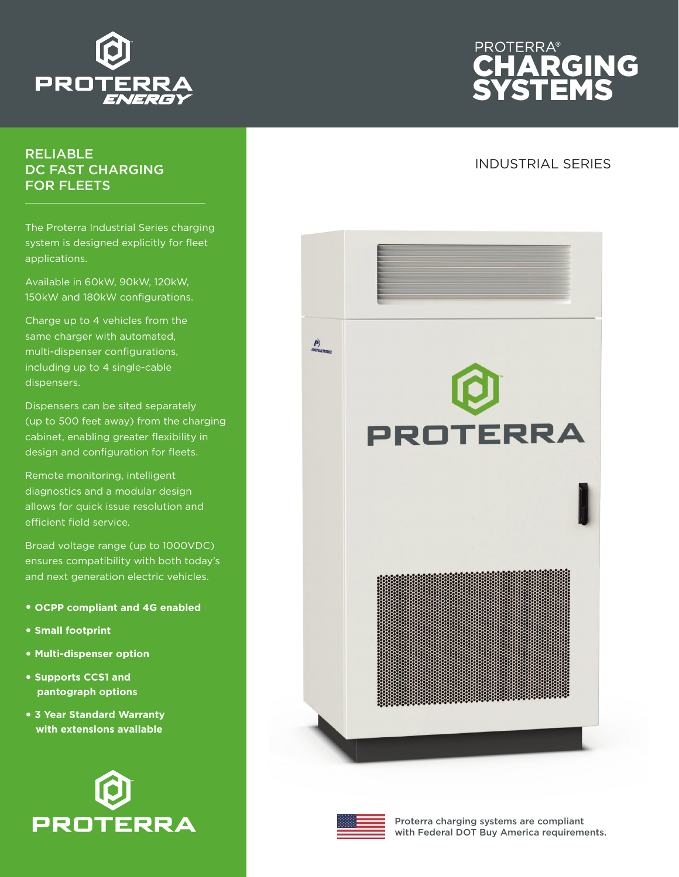

## RELIABLE DC FAST CHARGING FOR FLEETS

The Proterra Industrial Series charging system is designed explicitly for fleet applications.

Available in 60kW, 90kW, 120kW, 150kW and 180kW configurations.

Charge up to 4 vehicles from the same charger with automated, multi-dispenser configurations, including up to 4 single-cable dispensers.

Dispensers can be sited separately (up to 500 feet away) from the charging cabinet, enabling greater flexibility in design and configuration for fleets.

Remote monitoring, intelligent diagnostics and a modular design allows for quick issue resolution and efficient field service.

Broad voltage range (up to 1000VDC) ensures compatibility with both today's and next generation electric vehicles.

- **• OCPP compliant and 4G enabled**
- **• Small footprint**
- **• Multi-dispenser option**
- **• Supports CCS1 and pantograph options**
- **• 3 Year Standard Warranty with extensions available**





## INDUSTRIAL SERIES





Proterra charging systems are compliant with Federal DOT Buy America requirements.